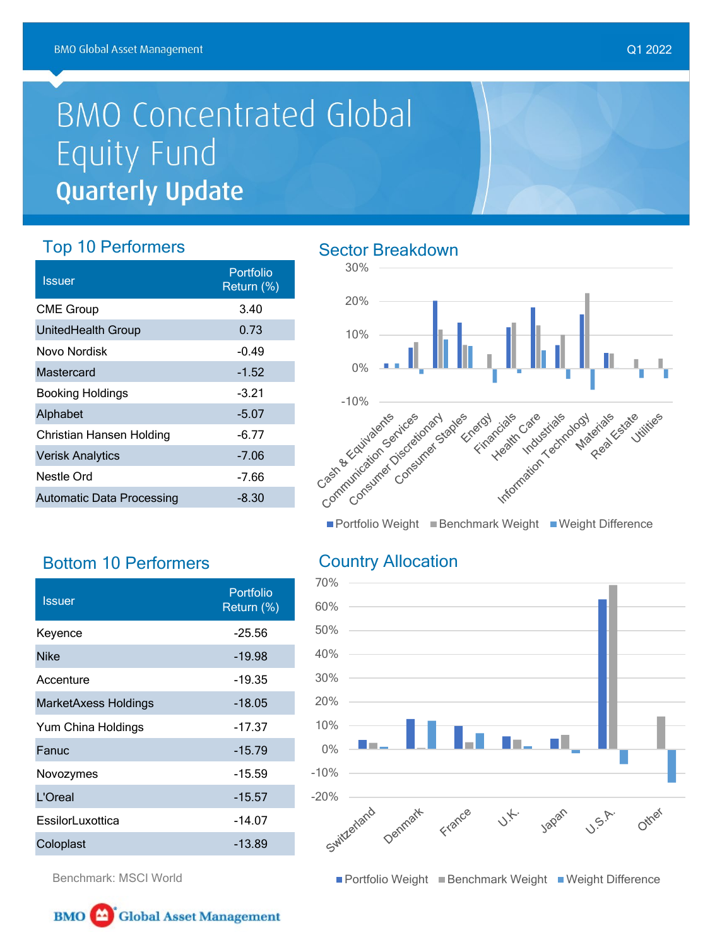## **BMO Concentrated Global** Equity Fund **Quarterly Update**

## Top 10 Performers

| <b>Issuer</b>             | Portfolio<br>Return (%) |
|---------------------------|-------------------------|
| <b>CME Group</b>          | 3.40                    |
| UnitedHealth Group        | 0.73                    |
| Novo Nordisk              | $-0.49$                 |
| Mastercard                | $-1.52$                 |
| <b>Booking Holdings</b>   | $-3.21$                 |
| Alphabet                  | $-5.07$                 |
| Christian Hansen Holding  | $-6.77$                 |
| <b>Verisk Analytics</b>   | $-7.06$                 |
| Nestle Ord                | $-7.66$                 |
| Automatic Data Processing | -8.30                   |

## Sector Breakdown



■ Portfolio Weight ■ Benchmark Weight ■ Weight Difference

## Country Allocation



■ Portfolio Weight ■ Benchmark Weight ■ Weight Difference

Q1 2022

Benchmark: MSCI World

Bottom 10 Performers

Portfolio المسلم المسلم المسلم المسلم المسلم المسلم المسلم المسلم المسلم المسلم المسلم المسلم المسلم المسلم ا<br>يوم المسلم المسلم المسلم المسلم المسلم المسلم المسلم المسلم المسلم المسلم المسلم المسلم المسلم المسلم المسلم ا

Keyence -25.56 Nike 2012 - 2022 - 2022 - 2022 - 2023 - 2024 - 2022 - 2022 - 2022 - 2022 - 2022 - 2022 - 2022 - 2022 - 2022 - 20 Accenture -19.35 MarketAxess Holdings -18.05 Yum China Holdings **-17.37** Fanuc -15.79 Novozymes -15.59 L'Oreal and the contract of the 15.57 EssilorLuxottica -14.07 Coloplast -13.89

Return (%)